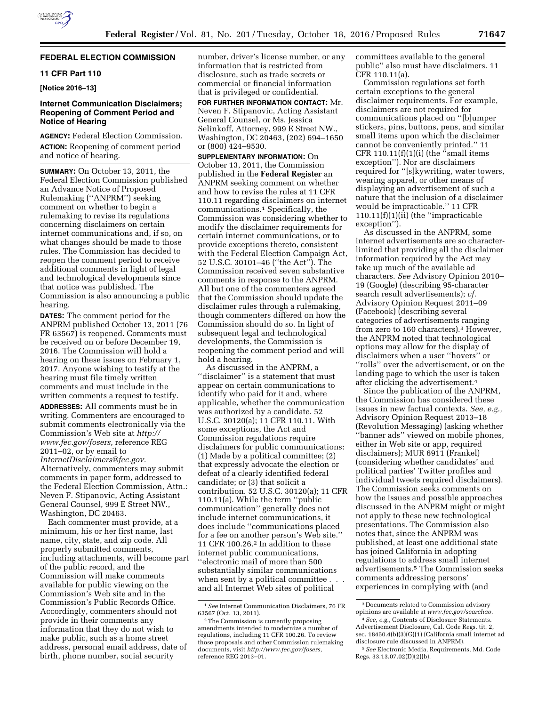# **FEDERAL ELECTION COMMISSION**

## **11 CFR Part 110**

**[Notice 2016–13]** 

## **Internet Communication Disclaimers; Reopening of Comment Period and Notice of Hearing**

**AGENCY:** Federal Election Commission. **ACTION:** Reopening of comment period and notice of hearing.

**SUMMARY:** On October 13, 2011, the Federal Election Commission published an Advance Notice of Proposed Rulemaking (''ANPRM'') seeking comment on whether to begin a rulemaking to revise its regulations concerning disclaimers on certain internet communications and, if so, on what changes should be made to those rules. The Commission has decided to reopen the comment period to receive additional comments in light of legal and technological developments since that notice was published. The Commission is also announcing a public hearing.

**DATES:** The comment period for the ANPRM published October 13, 2011 (76 FR 63567) is reopened. Comments must be received on or before December 19, 2016. The Commission will hold a hearing on these issues on February 1, 2017. Anyone wishing to testify at the hearing must file timely written comments and must include in the written comments a request to testify.

**ADDRESSES:** All comments must be in writing. Commenters are encouraged to submit comments electronically via the Commission's Web site at *[http://](http://www.fec.gov/fosers) [www.fec.gov/fosers,](http://www.fec.gov/fosers)* reference REG 2011–02, or by email to *[InternetDisclaimers@fec.gov.](mailto:InternetDisclaimers@fec.gov)*  Alternatively, commenters may submit comments in paper form, addressed to the Federal Election Commission, Attn.: Neven F. Stipanovic, Acting Assistant

General Counsel, 999 E Street NW., Washington, DC 20463. Each commenter must provide, at a

minimum, his or her first name, last name, city, state, and zip code. All properly submitted comments, including attachments, will become part of the public record, and the Commission will make comments available for public viewing on the Commission's Web site and in the Commission's Public Records Office. Accordingly, commenters should not provide in their comments any information that they do not wish to make public, such as a home street address, personal email address, date of birth, phone number, social security

number, driver's license number, or any information that is restricted from disclosure, such as trade secrets or commercial or financial information that is privileged or confidential.

**FOR FURTHER INFORMATION CONTACT:** Mr. Neven F. Stipanovic, Acting Assistant General Counsel, or Ms. Jessica Selinkoff, Attorney, 999 E Street NW., Washington, DC 20463, (202) 694–1650 or (800) 424–9530.

**SUPPLEMENTARY INFORMATION:** On October 13, 2011, the Commission published in the **Federal Register** an ANPRM seeking comment on whether and how to revise the rules at 11 CFR 110.11 regarding disclaimers on internet communications.1 Specifically, the Commission was considering whether to modify the disclaimer requirements for certain internet communications, or to provide exceptions thereto, consistent with the Federal Election Campaign Act, 52 U.S.C. 30101–46 (''the Act''). The Commission received seven substantive comments in response to the ANPRM. All but one of the commenters agreed that the Commission should update the disclaimer rules through a rulemaking, though commenters differed on how the Commission should do so. In light of subsequent legal and technological developments, the Commission is reopening the comment period and will hold a hearing.

As discussed in the ANPRM, a ''disclaimer'' is a statement that must appear on certain communications to identify who paid for it and, where applicable, whether the communication was authorized by a candidate. 52 U.S.C. 30120(a); 11 CFR 110.11. With some exceptions, the Act and Commission regulations require disclaimers for public communications: (1) Made by a political committee; (2) that expressly advocate the election or defeat of a clearly identified federal candidate; or (3) that solicit a contribution. 52 U.S.C. 30120(a); 11 CFR 110.11(a). While the term ''public communication'' generally does not include internet communications, it does include ''communications placed for a fee on another person's Web site.'' 11 CFR 100.26.2 In addition to these internet public communications, ''electronic mail of more than 500 substantially similar communications when sent by a political committee . . . and all Internet Web sites of political

committees available to the general public'' also must have disclaimers. 11 CFR 110.11(a).

Commission regulations set forth certain exceptions to the general disclaimer requirements. For example, disclaimers are not required for communications placed on ''[b]umper stickers, pins, buttons, pens, and similar small items upon which the disclaimer cannot be conveniently printed.'' 11 CFR 110.11 $(f)(1)(i)$  (the "small items") exception''). Nor are disclaimers required for ''[s]kywriting, water towers, wearing apparel, or other means of displaying an advertisement of such a nature that the inclusion of a disclaimer would be impracticable.'' 11 CFR 110.11(f)(1)(ii) (the ''impracticable exception'').

As discussed in the ANPRM, some internet advertisements are so characterlimited that providing all the disclaimer information required by the Act may take up much of the available ad characters. *See* Advisory Opinion 2010– 19 (Google) (describing 95-character search result advertisements); *cf.*  Advisory Opinion Request 2011–09 (Facebook) (describing several categories of advertisements ranging from zero to 160 characters).3 However, the ANPRM noted that technological options may allow for the display of disclaimers when a user ''hovers'' or ''rolls'' over the advertisement, or on the landing page to which the user is taken after clicking the advertisement.4

Since the publication of the ANPRM, the Commission has considered these issues in new factual contexts. *See, e.g.,*  Advisory Opinion Request 2013–18 (Revolution Messaging) (asking whether ''banner ads'' viewed on mobile phones, either in Web site or app, required disclaimers); MUR 6911 (Frankel) (considering whether candidates' and political parties' Twitter profiles and individual tweets required disclaimers). The Commission seeks comments on how the issues and possible approaches discussed in the ANPRM might or might not apply to these new technological presentations. The Commission also notes that, since the ANPRM was published, at least one additional state has joined California in adopting regulations to address small internet advertisements.5 The Commission seeks comments addressing persons' experiences in complying with (and

<sup>1</sup>*See* Internet Communication Disclaimers, 76 FR 63567 (Oct. 13, 2011).

<sup>2</sup>The Commission is currently proposing amendments intended to modernize a number of regulations, including 11 CFR 100.26. To review those proposals and other Commission rulemaking documents, visit *[http://www.fec.gov/fosers,](http://www.fec.gov/fosers)*  reference REG 2013–01.

<sup>3</sup> Documents related to Commission advisory opinions are available at *[www.fec.gov/searchao.](http://www.fec.gov/searchao)* 

<sup>4</sup>*See, e.g.,* Contents of Disclosure Statements. Advertisement Disclosure, Cal. Code Regs. tit. 2, sec. 18450.4(b)(3)(G)(1) (California small internet ad disclosure rule discussed in ANPRM).

<sup>5</sup>*See* Electronic Media, Requirements, Md. Code Regs. 33.13.07.02(D)(2)(b).